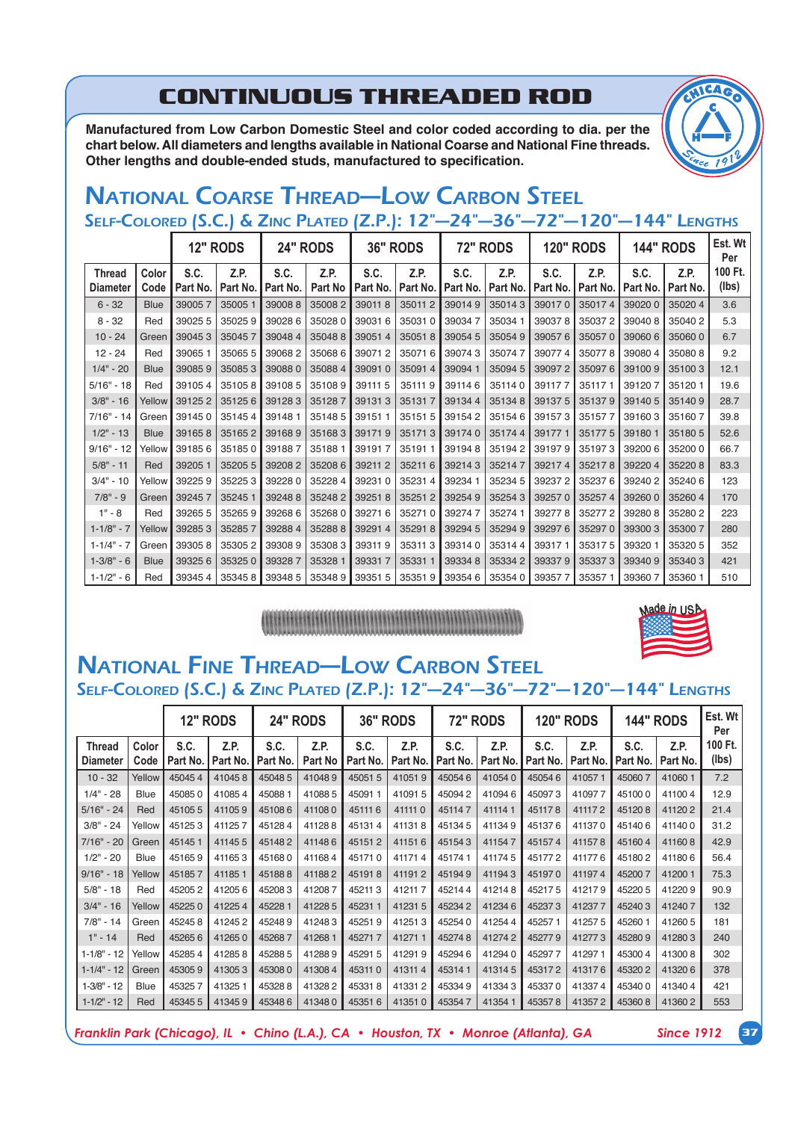## **CONTINUOUS THREADED ROD**

Manufactured from Low Carbon Domestic Steel and color coded according to dia. per the chart below. All diameters and lengths available in National Coarse and National Fine threads. Other lengths and double-ended studs, manufactured to specification.

## *NATIONAL COARSE THREAD—LOW CARBON STEEL SELF-COLORED (S.C.) & ZINC PLATED (Z.P.): 12"—24"—36"—72"—120"—144" LENGTHS*

|                                  |               |                  | <b>12" RODS</b>  |                  | <b>24" RODS</b>        |                  | <b>36" RODS</b>  |                  | <b>72" RODS</b>  |                  | <b>120" RODS</b> |                  | <b>144" RODS</b> | Est. Wt<br>Per   |
|----------------------------------|---------------|------------------|------------------|------------------|------------------------|------------------|------------------|------------------|------------------|------------------|------------------|------------------|------------------|------------------|
| <b>Thread</b><br><b>Diameter</b> | Color<br>Code | S.C.<br>Part No. | Z.P.<br>Part No. | S.C.<br>Part No. | Z.P.<br><b>Part No</b> | S.C.<br>Part No. | Z.P.<br>Part No. | S.C.<br>Part No. | Z.P.<br>Part No. | S.C.<br>Part No. | Z.P.<br>Part No. | S.C.<br>Part No. | Z.P.<br>Part No. | 100 Ft.<br>(lbs) |
| $6 - 32$                         | <b>Blue</b>   | 390057           | 350051           | 390088           | 350082                 | 390118           | 350112           | 390149           | 350143           | 390170           | 350174           | 390200           | 350204           | 3.6              |
| $8 - 32$                         | Red           | 39025 5          | 350259           | 390286           | 350280                 | 390316           | 350310           | 390347           | 350341           | 390378           | 350372           | 390408           | 350402           | 5.3              |
| $10 - 24$                        | Green         | 390453           | 350457           | 390484           | 350488                 | 390514           | 350518           | 39054 5          | 350549           | 390576           | 350570           | 39060 6          | 350600           | 6.7              |
| $12 - 24$                        | Red           | 390651           | 350655           | 390682           | 350686                 | 390712           | 350716           | 390743           | 350747           | 390774           | 350778           | 390804           | 350808           | 9.2              |
| $1/4" - 20$                      | <b>Blue</b>   | 390859           | 350853           | 390880           | 350884                 | 390910           | 350914           | 39094 1          | 350945           | 390972           | 350976           | 391009           | 351003           | 12.1             |
| $5/16" - 18$                     | Red           | 391054           | 351058           | 391085           | 351089                 | 391115           | 351119           | 391146           | 351140           | 391177           | 351171           | 391207           | 351201           | 19.6             |
| $3/8" - 16$                      | Yellow        | 391252           | 351256           | 391283           | 351287                 | 391313           | 351317           | 391344           | 351348           | 391375           | 351379           | 391405           | 351409           | 28.7             |
| $7/16" - 14$                     | Green         | 391450           | 351454           | 391481           | 351485                 | 391511           | 351515           | 391542           | 351546           | 391573           | 351577           | 391603           | 351607           | 39.8             |
| $1/2" - 13$                      | <b>Blue</b>   | 391658           | 351652           | 391689           | 351683                 | 391719           | 351713           | 391740           | 351744           | 391771           | 351775           | 39180 1          | 351805           | 52.6             |
| $9/16" - 12$                     | Yellow        | 391856           | 351850           | 391887           | 351881                 | 391917           | 351911           | 391948           | 351942           | 391979           | 351973           | 39200 6          | 352000           | 66.7             |
| $5/8" - 11$                      | Red           | 39205 1          | 35205 5          | 392082           | 352086                 | 392112           | 352116           | 392143           | 352147           | 392174           | 352178           | 392204           | 352208           | 83.3             |
| $3/4" - 10$                      | Yellow        | 392259           | 352253           | 392280           | 352284                 | 392310           | 352314           | 39234 1          | 352345           | 392372           | 352376           | 392402           | 352406           | 123              |
| $7/8" - 9$                       | Green         | 392457           | 352451           | 392488           | 352482                 | 392518           | 352512           | 392549           | 352543           | 392570           | 352574           | 392600           | 352604           | 170              |
| $1" - 8$                         | Red           | 39265 5          | 352659           | 392686           | 352680                 | 392716           | 352710           | 392747           | 352741           | 392778           | 352772           | 392808           | 352802           | 223              |
| $1 - 1/8" - 7$                   | Yellow        | 392853           | 352857           | 392884           | 352888                 | 392914           | 352918           | 39294 5          | 352949           | 392976           | 352970           | 393003           | 353007           | 280              |
| $1 - 1/4" - 7$                   | Green         | 393058           | 353052           | 393089           | 353083                 | 393119           | 353113           | 393140           | 353144           | 393171           | 353175           | 39320 1          | 35320 5          | 352              |
| $1 - 3/8" - 6$                   | <b>Blue</b>   | 393256           | 353250           | 393287           | 35328 1                | 393317           | 353311           | 393348           | 353342           | 393379           | 353373           | 393409           | 353403           | 421              |
| $1 - 1/2" - 6$                   | Red           | 393454           | 353458           | 393485           | 353489                 | 39351 5          | 353519           | 39354 6          | 353540           | 393577           | 353571           | 393607           | 35360 1          | 510              |

# 



#### *NATIONAL FINE THREAD—LOW CARBON STEEL SELF-COLORED (S.C.) & ZINC PLATED (Z.P.): 12"—24"—36"—72"—120"—144" LENGTHS*

|                 |             | <b>12" RODS</b> |          |          | <b>24" RODS</b><br><b>36" RODS</b> |          | <b>72" RODS</b> |          | <b>120" RODS</b> |          | <b>144" RODS</b> |          | Est. Wt<br>Per |         |
|-----------------|-------------|-----------------|----------|----------|------------------------------------|----------|-----------------|----------|------------------|----------|------------------|----------|----------------|---------|
| <b>Thread</b>   | Color       | S.C.            | Z.P.     | S.C.     | Z.P.                               | S.C.     | Z.P.            | S.C.     | Z.P.             | S.C.     | Z.P.             | S.C.     | Z.P.           | 100 Ft. |
| <b>Diameter</b> | Code        | Part No.        | Part No. | Part No. | Part No                            | Part No. | Part No.        | Part No. | Part No.         | Part No. | Part No.         | Part No. | Part No.       | (lbs)   |
| $10 - 32$       | Yellow      | 450454          | 410458   | 450485   | 410489                             | 450515   | 410519          | 450546   | 410540           | 450546   | 410571           | 450607   | 410601         | 7.2     |
| $1/4" - 28$     | <b>Blue</b> | 450850          | 410854   | 450881   | 410885                             | 450911   | 410915          | 450942   | 410946           | 450973   | 410977           | 451000   | 411004         | 12.9    |
| $5/16" - 24$    | Red         | 451055          | 411059   | 451086   | 411080                             | 451116   | 411110          | 451147   | 411141           | 451178   | 411172           | 451208   | 411202         | 21.4    |
| $3/8" - 24$     | Yellow      | 451253          | 411257   | 451284   | 411288                             | 451314   | 411318          | 451345   | 411349           | 451376   | 411370           | 451406   | 411400         | 31.2    |
| $7/16" - 20$    | Green       | 451451          | 411455   | 451482   | 411486                             | 451512   | 411516          | 451543   | 411547           | 451574   | 411578           | 451604   | 411608         | 42.9    |
| $1/2" - 20$     | Blue        | 451659          | 411653   | 451680   | 411684                             | 451710   | 411714          | 451741   | 411745           | 451772   | 411776           | 451802   | 411806         | 56.4    |
| $9/16" - 18$    | Yellow      | 451857          | 411851   | 451888   | 411882                             | 451918   | 411912          | 451949   | 411943           | 451970   | 411974           | 452007   | 412001         | 75.3    |
| $5/8" - 18$     | Red         | 452052          | 412056   | 452083   | 412087                             | 452113   | 412117          | 452144   | 412148           | 452175   | 412179           | 452205   | 412209         | 90.9    |
| $3/4" - 16$     | Yellow      | 452250          | 412254   | 452281   | 412285                             | 452311   | 412315          | 452342   | 412346           | 452373   | 412377           | 452403   | 412407         | 132     |
| $7/8" - 14$     | Green       | 452458          | 412452   | 452489   | 412483                             | 452519   | 412513          | 452540   | 412544           | 452571   | 412575           | 452601   | 412605         | 181     |
| $1" - 14$       | Red         | 452656          | 412650   | 452687   | 412681                             | 452717   | 412711          | 452748   | 412742           | 452779   | 412773           | 452809   | 412803         | 240     |
| $1 - 1/8" - 12$ | Yellow      | 452854          | 412858   | 452885   | 412889                             | 452915   | 412919          | 452946   | 412940           | 452977   | 412971           | 453004   | 413008         | 302     |
| $1 - 1/4" - 12$ | Green       | 453059          | 413053   | 453080   | 413084                             | 453110   | 413114          | 453141   | 413145           | 453172   | 413176           | 453202   | 413206         | 378     |
| $1 - 3/8" - 12$ | <b>Blue</b> | 453257          | 413251   | 453288   | 413282                             | 453318   | 413312          | 453349   | 413343           | 453370   | 413374           | 453400   | 413404         | 421     |
| $1 - 1/2" - 12$ | Red         | 45345 5         | 413459   | 453486   | 413480                             | 453516   | 413510          | 453547   | 413541           | 453578   | 413572           | 453608   | 413602         | 553     |

*Franklin Park (Chicago), IL • Chino (L.A.), CA • Houston, TX • Monroe (Atlanta), GA Since 1912* **37**